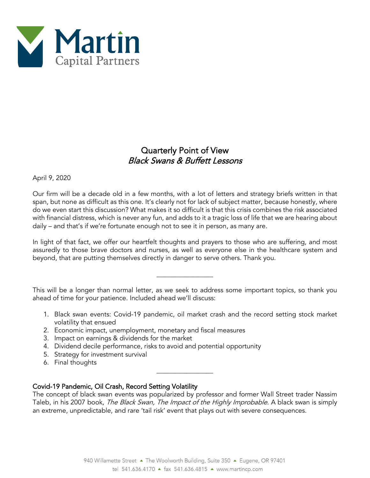

# Quarterly Point of View Black Swans & Buffett Lessons

April 9, 2020

Our firm will be a decade old in a few months, with a lot of letters and strategy briefs written in that span, but none as difficult as this one. It's clearly not for lack of subject matter, because honestly, where do we even start this discussion? What makes it so difficult is that this crisis combines the risk associated with financial distress, which is never any fun, and adds to it a tragic loss of life that we are hearing about daily – and that's if we're fortunate enough not to see it in person, as many are.

In light of that fact, we offer our heartfelt thoughts and prayers to those who are suffering, and most assuredly to those brave doctors and nurses, as well as everyone else in the healthcare system and beyond, that are putting themselves directly in danger to serve others. Thank you.

This will be a longer than normal letter, as we seek to address some important topics, so thank you ahead of time for your patience. Included ahead we'll discuss:

\_\_\_\_\_\_\_\_\_\_\_\_\_\_\_\_\_

- 1. Black swan events: Covid-19 pandemic, oil market crash and the record setting stock market volatility that ensued
- 2. Economic impact, unemployment, monetary and fiscal measures
- 3. Impact on earnings & dividends for the market
- 4. Dividend decile performance, risks to avoid and potential opportunity
- 5. Strategy for investment survival
- 6. Final thoughts

### Covid-19 Pandemic, Oil Crash, Record Setting Volatility

The concept of black swan events was popularized by professor and former Wall Street trader Nassim Taleb, in his 2007 book, The Black Swan, The Impact of the Highly Improbable. A black swan is simply an extreme, unpredictable, and rare 'tail risk' event that plays out with severe consequences.

\_\_\_\_\_\_\_\_\_\_\_\_\_\_\_\_\_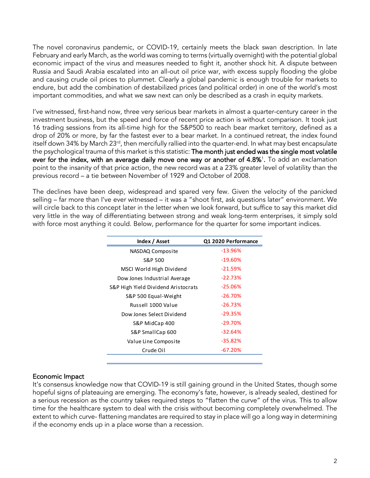The novel coronavirus pandemic, or COVID-19, certainly meets the black swan description. In late February and early March, as the world was coming to terms (virtually overnight) with the potential global economic impact of the virus and measures needed to fight it, another shock hit. A dispute between Russia and Saudi Arabia escalated into an all-out oil price war, with excess supply flooding the globe and causing crude oil prices to plummet. Clearly a global pandemic is enough trouble for markets to endure, but add the combination of destabilized prices (and political order) in one of the world's most important commodities, and what we saw next can only be described as a crash in equity markets.

I've witnessed, first-hand now, three very serious bear markets in almost a quarter-century career in the investment business, but the speed and force of recent price action is without comparison. It took just 16 trading sessions from its all-time high for the S&P500 to reach bear market territory, defined as a drop of 20% or more, by far the fastest ever to a bear market. In a continued retreat, the index found itself down 34% by March 23<sup>rd</sup>, then mercifully rallied into the quarter-end. In what may best encapsulate the psychological trauma of this market is this statistic: The month just ended was the single most volatile ever for the index, with an average daily move one way or another of 4.8%<sup>1</sup>. To add an exclamation point to the insanity of that price action, the new record was at a 23% greater level of volatility than the previous record – a tie between November of 1929 and October of 2008.

The declines have been deep, widespread and spared very few. Given the velocity of the panicked selling – far more than I've ever witnessed – it was a "shoot first, ask questions later" environment. We will circle back to this concept later in the letter when we look forward, but suffice to say this market did very little in the way of differentiating between strong and weak long-term enterprises, it simply sold with force most anything it could. Below, performance for the quarter for some important indices.

| Index / Asset                       | Q1 2020 Performance |
|-------------------------------------|---------------------|
| NASDAQ Composite                    | $-13.96%$           |
| S&P 500                             | $-19.60%$           |
| MSCI World High Dividend            | $-21.59%$           |
| Dow Jones Industrial Average        | $-22.73%$           |
| S&P High Yield Dividend Aristocrats | $-25.06%$           |
| S&P 500 Equal-Weight                | $-26.70%$           |
| Russell 1000 Value                  | $-26.73%$           |
| Dow Jones Select Dividend           | $-29.35%$           |
| S&P MidCap 400                      | $-29.70%$           |
| S&P SmallCap 600                    | $-32.64%$           |
| Value Line Composite                | $-35.82%$           |
| Crude Oil                           | $-67.20%$           |

#### Economic Impact

It's consensus knowledge now that COVID-19 is still gaining ground in the United States, though some hopeful signs of plateauing are emerging. The economy's fate, however, is already sealed, destined for a serious recession as the country takes required steps to "flatten the curve" of the virus. This to allow time for the healthcare system to deal with the crisis without becoming completely overwhelmed. The extent to which curve- flattening mandates are required to stay in place will go a long way in determining if the economy ends up in a place worse than a recession.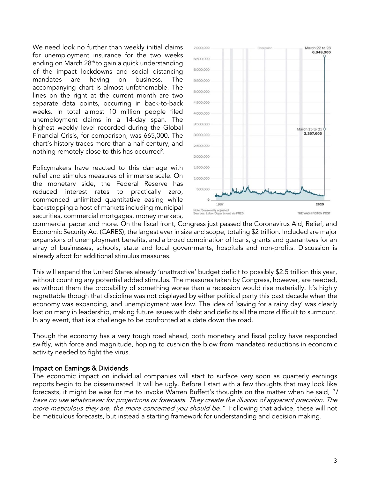We need look no further than weekly initial claims for unemployment insurance for the two weeks ending on March  $28<sup>th</sup>$  to gain a quick understanding of the impact lockdowns and social distancing mandates are having on business. The accompanying chart is almost unfathomable. The lines on the right at the current month are two separate data points, occurring in back-to-back weeks. In total almost 10 million people filed unemployment claims in a 14-day span. The highest weekly level recorded during the Global Financial Crisis, for comparison, was 665,000. The chart's history traces more than a half-century, and nothing remotely close to this has occurred<sup>2</sup>.

Policymakers have reacted to this damage with relief and stimulus measures of immense scale. On the monetary side, the Federal Reserve has reduced interest rates to practically zero, commenced unlimited quantitative easing while backstopping a host of markets including municipal securities, commercial mortgages, money markets,



commercial paper and more. On the fiscal front, Congress just passed the Coronavirus Aid, Relief, and Economic Security Act (CARES), the largest ever in size and scope, totaling \$2 trillion. Included are major expansions of unemployment benefits, and a broad combination of loans, grants and guarantees for an array of businesses, schools, state and local governments, hospitals and non-profits. Discussion is already afoot for additional stimulus measures.

This will expand the United States already 'unattractive' budget deficit to possibly \$2.5 trillion this year, without counting any potential added stimulus. The measures taken by Congress, however, are needed, as without them the probability of something worse than a recession would rise materially. It's highly regrettable though that discipline was not displayed by either political party this past decade when the economy was expanding, and unemployment was low. The idea of 'saving for a rainy day' was clearly lost on many in leadership, making future issues with debt and deficits all the more difficult to surmount. In any event, that is a challenge to be confronted at a date down the road.

Though the economy has a very tough road ahead, both monetary and fiscal policy have responded swiftly, with force and magnitude, hoping to cushion the blow from mandated reductions in economic activity needed to fight the virus.

#### Impact on Earnings & Dividends

The economic impact on individual companies will start to surface very soon as quarterly earnings reports begin to be disseminated. It will be ugly. Before I start with a few thoughts that may look like forecasts, it might be wise for me to invoke Warren Buffett's thoughts on the matter when he said, "I have no use whatsoever for projections or forecasts. They create the illusion of apparent precision. The more meticulous they are, the more concerned you should be." Following that advice, these will not be meticulous forecasts, but instead a starting framework for understanding and decision making.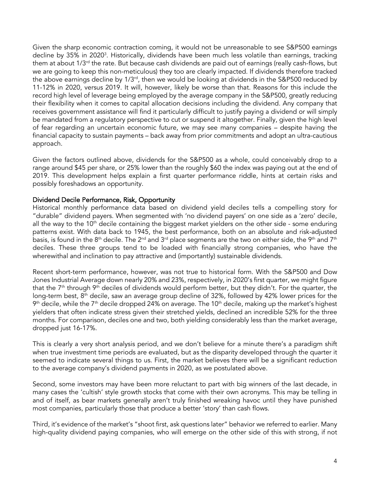Given the sharp economic contraction coming, it would not be unreasonable to see S&P500 earnings decline by 35% in 2020<sup>3</sup>. Historically, dividends have been much less volatile than earnings, tracking them at about 1/3<sup>rd</sup> the rate. But because cash dividends are paid out of earnings (really cash-flows, but we are going to keep this non-meticulous) they too are clearly impacted. If dividends therefore tracked the above earnings decline by 1/3<sup>rd</sup>, then we would be looking at dividends in the S&P500 reduced by 11-12% in 2020, versus 2019. It will, however, likely be worse than that. Reasons for this include the record high level of leverage being employed by the average company in the S&P500, greatly reducing their flexibility when it comes to capital allocation decisions including the dividend. Any company that receives government assistance will find it particularly difficult to justify paying a dividend or will simply be mandated from a regulatory perspective to cut or suspend it altogether. Finally, given the high level of fear regarding an uncertain economic future, we may see many companies – despite having the financial capacity to sustain payments – back away from prior commitments and adopt an ultra-cautious approach.

Given the factors outlined above, dividends for the S&P500 as a whole, could conceivably drop to a range around \$45 per share, or 25% lower than the roughly \$60 the index was paying out at the end of 2019. This development helps explain a first quarter performance riddle, hints at certain risks and possibly foreshadows an opportunity.

### Dividend Decile Performance, Risk, Opportunity

Historical monthly performance data based on dividend yield deciles tells a compelling story for "durable" dividend payers. When segmented with 'no dividend payers' on one side as a 'zero' decile, all the way to the  $10<sup>th</sup>$  decile containing the biggest market yielders on the other side - some enduring patterns exist. With data back to 1945, the best performance, both on an absolute and risk-adjusted basis, is found in the 8<sup>th</sup> decile. The 2<sup>nd</sup> and 3<sup>rd</sup> place segments are the two on either side, the 9<sup>th</sup> and 7<sup>th</sup> deciles. These three groups tend to be loaded with financially strong companies, who have the wherewithal and inclination to pay attractive and (importantly) sustainable dividends.

Recent short-term performance, however, was not true to historical form. With the S&P500 and Dow Jones Industrial Average down nearly 20% and 23%, respectively, in 2020's first quarter, we might figure that the  $7<sup>th</sup>$  through  $9<sup>th</sup>$  deciles of dividends would perform better, but they didn't. For the quarter, the long-term best, 8<sup>th</sup> decile, saw an average group decline of 32%, followed by 42% lower prices for the  $9<sup>th</sup>$  decile, while the  $7<sup>th</sup>$  decile dropped 24% on average. The 10<sup>th</sup> decile, making up the market's highest yielders that often indicate stress given their stretched yields, declined an incredible 52% for the three months. For comparison, deciles one and two, both yielding considerably less than the market average, dropped just 16-17%.

This is clearly a very short analysis period, and we don't believe for a minute there's a paradigm shift when true investment time periods are evaluated, but as the disparity developed through the quarter it seemed to indicate several things to us. First, the market believes there will be a significant reduction to the average company's dividend payments in 2020, as we postulated above.

Second, some investors may have been more reluctant to part with big winners of the last decade, in many cases the 'cultish' style growth stocks that come with their own acronyms. This may be telling in and of itself, as bear markets generally aren't truly finished wreaking havoc until they have punished most companies, particularly those that produce a better 'story' than cash flows.

Third, it's evidence of the market's "shoot first, ask questions later" behavior we referred to earlier. Many high-quality dividend paying companies, who will emerge on the other side of this with strong, if not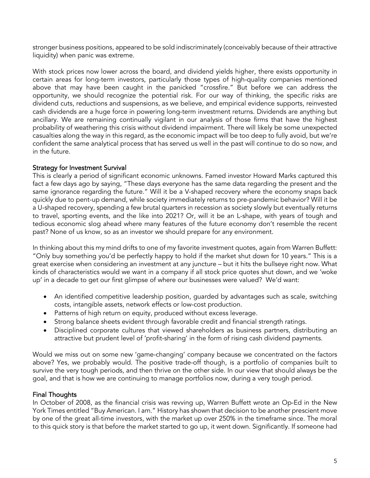stronger business positions, appeared to be sold indiscriminately (conceivably because of their attractive liquidity) when panic was extreme.

With stock prices now lower across the board, and dividend yields higher, there exists opportunity in certain areas for long-term investors, particularly those types of high-quality companies mentioned above that may have been caught in the panicked "crossfire." But before we can address the opportunity, we should recognize the potential risk. For our way of thinking, the specific risks are dividend cuts, reductions and suspensions, as we believe, and empirical evidence supports, reinvested cash dividends are a huge force in powering long-term investment returns. Dividends are anything but ancillary. We are remaining continually vigilant in our analysis of those firms that have the highest probability of weathering this crisis without dividend impairment. There will likely be some unexpected casualties along the way in this regard, as the economic impact will be too deep to fully avoid, but we're confident the same analytical process that has served us well in the past will continue to do so now, and in the future.

### Strategy for Investment Survival

This is clearly a period of significant economic unknowns. Famed investor Howard Marks captured this fact a few days ago by saying, "These days everyone has the same data regarding the present and the same ignorance regarding the future." Will it be a V-shaped recovery where the economy snaps back quickly due to pent-up demand, while society immediately returns to pre-pandemic behavior? Will it be a U-shaped recovery, spending a few brutal quarters in recession as society slowly but eventually returns to travel, sporting events, and the like into 2021? Or, will it be an L-shape, with years of tough and tedious economic slog ahead where many features of the future economy don't resemble the recent past? None of us know, so as an investor we should prepare for any environment.

In thinking about this my mind drifts to one of my favorite investment quotes, again from Warren Buffett: "Only buy something you'd be perfectly happy to hold if the market shut down for 10 years." This is a great exercise when considering an investment at any juncture – but it hits the bullseye right now. What kinds of characteristics would we want in a company if all stock price quotes shut down, and we 'woke up' in a decade to get our first glimpse of where our businesses were valued? We'd want:

- An identified competitive leadership position, guarded by advantages such as scale, switching costs, intangible assets, network effects or low-cost production.
- Patterns of high return on equity, produced without excess leverage.
- Strong balance sheets evident through favorable credit and financial strength ratings.
- Disciplined corporate cultures that viewed shareholders as business partners, distributing an attractive but prudent level of 'profit-sharing' in the form of rising cash dividend payments.

Would we miss out on some new 'game-changing' company because we concentrated on the factors above? Yes, we probably would. The positive trade-off though, is a portfolio of companies built to survive the very tough periods, and then thrive on the other side. In our view that should always be the goal, and that is how we are continuing to manage portfolios now, during a very tough period.

## Final Thoughts

In October of 2008, as the financial crisis was revving up, Warren Buffett wrote an Op-Ed in the New York Times entitled "Buy American. I am." History has shown that decision to be another prescient move by one of the great all-time investors, with the market up over 250% in the timeframe since. The moral to this quick story is that before the market started to go up, it went down. Significantly. If someone had